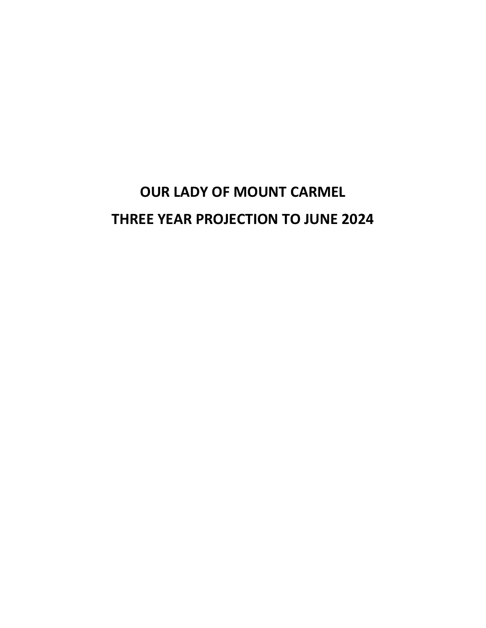# **OUR LADY OF MOUNT CARMEL THREE YEAR PROJECTION TO JUNE 2024**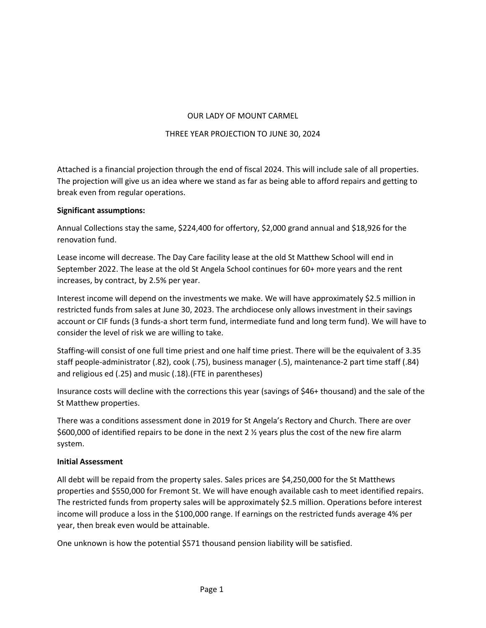## OUR LADY OF MOUNT CARMEL

## THREE YEAR PROJECTION TO JUNE 30, 2024

Attached is a financial projection through the end of fiscal 2024. This will include sale of all properties. The projection will give us an idea where we stand as far as being able to afford repairs and getting to break even from regular operations.

## **Significant assumptions:**

Annual Collections stay the same, \$224,400 for offertory, \$2,000 grand annual and \$18,926 for the renovation fund.

Lease income will decrease. The Day Care facility lease at the old St Matthew School will end in September 2022. The lease at the old St Angela School continues for 60+ more years and the rent increases, by contract, by 2.5% per year.

Interest income will depend on the investments we make. We will have approximately \$2.5 million in restricted funds from sales at June 30, 2023. The archdiocese only allows investment in their savings account or CIF funds (3 funds-a short term fund, intermediate fund and long term fund). We will have to consider the level of risk we are willing to take.

Staffing-will consist of one full time priest and one half time priest. There will be the equivalent of 3.35 staff people-administrator (.82), cook (.75), business manager (.5), maintenance-2 part time staff (.84) and religious ed (.25) and music (.18).(FTE in parentheses)

Insurance costs will decline with the corrections this year (savings of \$46+ thousand) and the sale of the St Matthew properties.

There was a conditions assessment done in 2019 for St Angela's Rectory and Church. There are over \$600,000 of identified repairs to be done in the next 2 ½ years plus the cost of the new fire alarm system.

## **Initial Assessment**

All debt will be repaid from the property sales. Sales prices are \$4,250,000 for the St Matthews properties and \$550,000 for Fremont St. We will have enough available cash to meet identified repairs. The restricted funds from property sales will be approximately \$2.5 million. Operations before interest income will produce a loss in the \$100,000 range. If earnings on the restricted funds average 4% per year, then break even would be attainable.

One unknown is how the potential \$571 thousand pension liability will be satisfied.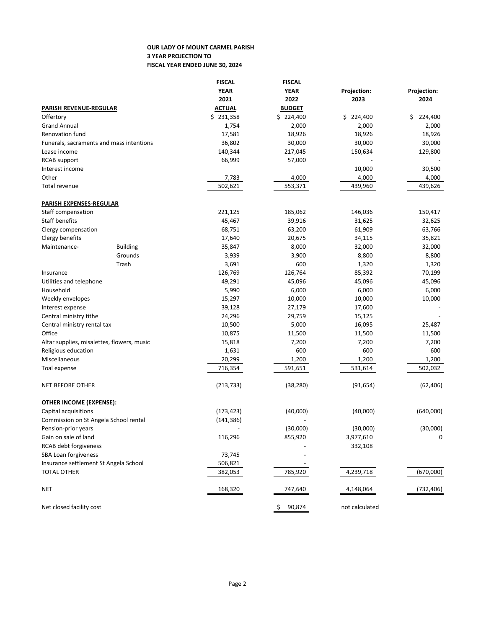#### **OUR LADY OF MOUNT CARMEL PARISH 3 YEAR PROJECTION TO FISCAL YEAR ENDED JUNE 30, 2024**

|                                            |                                          | <b>FISCAL</b>  | <b>FISCAL</b> |                |               |
|--------------------------------------------|------------------------------------------|----------------|---------------|----------------|---------------|
|                                            |                                          | <b>YEAR</b>    | <b>YEAR</b>   | Projection:    | Projection:   |
|                                            |                                          | 2021           | 2022          | 2023           | 2024          |
| PARISH REVENUE-REGULAR                     |                                          | <b>ACTUAL</b>  | <b>BUDGET</b> |                |               |
| Offertory                                  |                                          | \$231,358      | \$224,400     | \$224,400      | \$<br>224,400 |
| <b>Grand Annual</b>                        |                                          | 1,754          | 2,000         | 2,000          | 2,000         |
| Renovation fund                            |                                          | 17,581         | 18,926        | 18,926         | 18,926        |
|                                            | Funerals, sacraments and mass intentions | 36,802         | 30,000        | 30,000         | 30,000        |
| Lease income                               |                                          | 140,344        | 217,045       | 150,634        | 129,800       |
| RCAB support                               |                                          | 66,999         | 57,000        |                |               |
| Interest income                            |                                          |                |               | 10,000         | 30,500        |
| Other                                      |                                          | 7,783          | 4,000         | 4,000          | 4,000         |
| Total revenue                              |                                          | 502,621        | 553,371       | 439,960        | 439,626       |
| <b>PARISH EXPENSES-REGULAR</b>             |                                          |                |               |                |               |
| Staff compensation                         |                                          | 221,125        | 185,062       | 146,036        | 150,417       |
| Staff benefits                             |                                          | 45,467         | 39,916        | 31,625         | 32,625        |
| Clergy compensation                        |                                          | 68,751         | 63,200        | 61,909         | 63,766        |
| Clergy benefits                            |                                          | 17,640         | 20,675        | 34,115         | 35,821        |
| Maintenance-                               | <b>Building</b>                          | 35,847         | 8,000         | 32,000         | 32,000        |
|                                            | Grounds                                  | 3,939          | 3,900         | 8,800          | 8,800         |
|                                            | Trash                                    | 3,691          | 600           | 1,320          | 1,320         |
| Insurance                                  |                                          | 126,769        | 126,764       | 85,392         | 70,199        |
| Utilities and telephone                    |                                          | 49,291         | 45,096        | 45,096         | 45,096        |
| Household                                  |                                          | 5,990          | 6,000         | 6,000          | 6,000         |
| Weekly envelopes                           |                                          | 15,297         | 10,000        | 10,000         | 10,000        |
| Interest expense                           |                                          | 39,128         | 27,179        | 17,600         |               |
| Central ministry tithe                     |                                          | 24,296         | 29,759        | 15,125         |               |
| Central ministry rental tax                |                                          | 10,500         | 5,000         | 16,095         | 25,487        |
| Office                                     |                                          | 10,875         | 11,500        | 11,500         | 11,500        |
| Altar supplies, misalettes, flowers, music |                                          | 15,818         | 7,200         | 7,200          | 7,200         |
| Religious education                        |                                          | 1,631          | 600           | 600            | 600           |
| Miscellaneous                              |                                          | 20,299         | 1,200         | 1,200          | 1,200         |
| Toal expense                               |                                          | 716,354        | 591,651       | 531,614        | 502,032       |
| NET BEFORE OTHER                           |                                          | (213, 733)     | (38, 280)     | (91, 654)      | (62, 406)     |
| OTHER INCOME (EXPENSE):                    |                                          |                |               |                |               |
| Capital acquisitions                       |                                          | (173, 423)     | (40,000)      | (40,000)       | (640,000)     |
| Commission on St Angela School rental      |                                          | (141, 386)     |               |                |               |
| Pension-prior years                        |                                          | $\overline{a}$ | (30,000)      | (30,000)       | (30,000)      |
| Gain on sale of land                       |                                          | 116,296        | 855,920       | 3,977,610      | 0             |
| RCAB debt forgiveness                      |                                          |                |               | 332,108        |               |
| SBA Loan forgiveness                       |                                          | 73,745         |               |                |               |
| Insurance settlement St Angela School      |                                          | 506,821        |               |                |               |
| <b>TOTAL OTHER</b>                         |                                          | 382,053        | 785,920       | 4,239,718      | (670,000)     |
| NET                                        |                                          | 168,320        | 747,640       | 4,148,064      | (732, 406)    |
| Net closed facility cost                   |                                          |                | 90,874<br>Ş   | not calculated |               |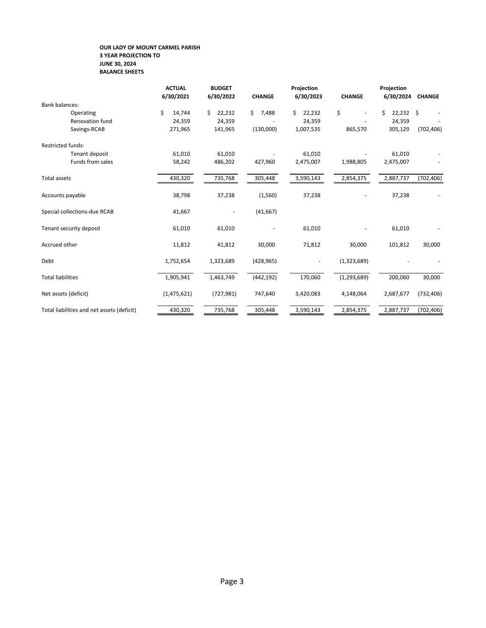#### **OUR LADY OF MOUNT CARMEL PARISH 3 YEAR PROJECTION TO JUNE 30, 2024 BALANCE SHEETS**

|                                            | <b>ACTUAL</b><br>6/30/2021 | <b>BUDGET</b><br>6/30/2022 | <b>CHANGE</b> | Projection<br>6/30/2023  | <b>CHANGE</b> | Projection<br>6/30/2024 | <b>CHANGE</b> |
|--------------------------------------------|----------------------------|----------------------------|---------------|--------------------------|---------------|-------------------------|---------------|
| <b>Bank balances:</b>                      |                            |                            |               |                          |               |                         |               |
| Operating                                  | \$<br>14,744               | Ś.<br>22,232               | Ś.<br>7,488   | 22,232<br>Ś.             | \$<br>٠       | \$<br>$22,232$ \$       |               |
| <b>Renovation fund</b>                     | 24,359                     | 24,359                     |               | 24,359                   |               | 24,359                  |               |
| Savings-RCAB                               | 271,965                    | 141,965                    | (130,000)     | 1,007,535                | 865,570       | 305,129                 | (702, 406)    |
| <b>Restricted funds:</b>                   |                            |                            |               |                          |               |                         |               |
| Tenant deposit                             | 61,010                     | 61,010                     |               | 61,010                   |               | 61,010                  |               |
| Funds from sales                           | 58,242                     | 486,202                    | 427,960       | 2,475,007                | 1,988,805     | 2,475,007               |               |
| Total assets                               | 430,320                    | 735,768                    | 305,448       | 3,590,143                | 2,854,375     | 2,887,737               | (702, 406)    |
| Accounts payable                           | 38,798                     | 37,238                     | (1,560)       | 37,238                   |               | 37,238                  |               |
| Special collections-due RCAB               | 41,667                     | $\overline{\phantom{a}}$   | (41, 667)     |                          |               |                         |               |
| Tenant security deposit                    | 61,010                     | 61,010                     |               | 61,010                   |               | 61,010                  |               |
| Accrued other                              | 11,812                     | 41,812                     | 30,000        | 71,812                   | 30,000        | 101,812                 | 30,000        |
| Debt                                       | 1,752,654                  | 1,323,689                  | (428, 965)    | $\overline{\phantom{a}}$ | (1,323,689)   |                         |               |
| <b>Total liabilities</b>                   | 1,905,941                  | 1,463,749                  | (442, 192)    | 170,060                  | (1, 293, 689) | 200,060                 | 30,000        |
| Net assets (deficit)                       | (1,475,621)                | (727, 981)                 | 747,640       | 3,420,083                | 4,148,064     | 2,687,677               | (732, 406)    |
| Total liabilities and net assets (deficit) | 430,320                    | 735,768                    | 305,448       | 3,590,143                | 2,854,375     | 2,887,737               | (702, 406)    |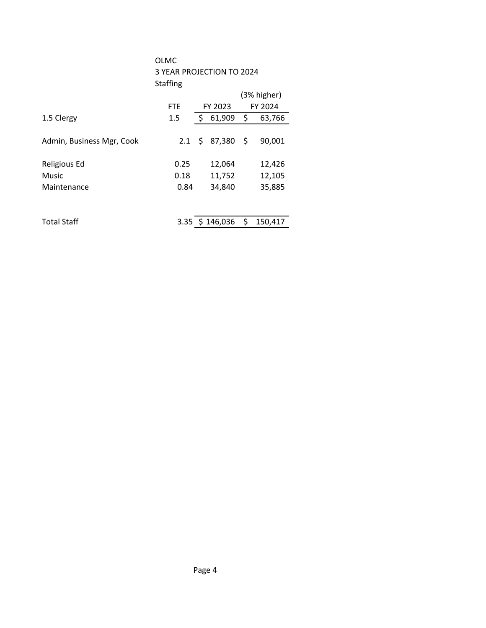|                           | OLMC<br>3 YEAR PROJECTION TO 2024<br>Staffing |  |                        |  |             |  |  |
|---------------------------|-----------------------------------------------|--|------------------------|--|-------------|--|--|
|                           |                                               |  |                        |  | (3% higher) |  |  |
|                           | FTE.                                          |  | FY 2023                |  | FY 2024     |  |  |
| 1.5 Clergy                | 1.5                                           |  | $$61,909$ \$           |  | 63,766      |  |  |
| Admin, Business Mgr, Cook |                                               |  | $2.1 \div 87,380 \div$ |  | 90,001      |  |  |
| Religious Ed              | 0.25                                          |  | 12,064                 |  | 12,426      |  |  |
| Music                     | 0.18                                          |  | 11,752                 |  | 12,105      |  |  |
| Maintenance               | 0.84                                          |  | 34,840                 |  | 35,885      |  |  |
|                           |                                               |  |                        |  |             |  |  |
| <b>Total Staff</b>        |                                               |  | $3.35$ \$ 146,036 \$   |  | 150,417     |  |  |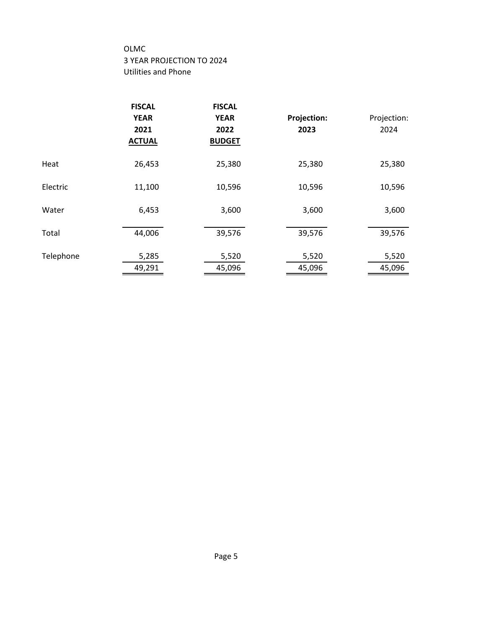# OLMC 3 YEAR PROJECTION TO 2024 Utilities and Phone

|           | <b>FISCAL</b><br><b>YEAR</b><br>2021<br><b>ACTUAL</b> | <b>FISCAL</b><br><b>YEAR</b><br>2022<br><b>BUDGET</b> | <b>Projection:</b><br>2023 | Projection:<br>2024 |
|-----------|-------------------------------------------------------|-------------------------------------------------------|----------------------------|---------------------|
| Heat      | 26,453                                                | 25,380                                                | 25,380                     | 25,380              |
| Electric  | 11,100                                                | 10,596                                                | 10,596                     | 10,596              |
| Water     | 6,453                                                 | 3,600                                                 | 3,600                      | 3,600               |
| Total     | 44,006                                                | 39,576                                                | 39,576                     | 39,576              |
| Telephone | 5,285<br>49,291                                       | 5,520<br>45,096                                       | 5,520<br>45,096            | 5,520<br>45,096     |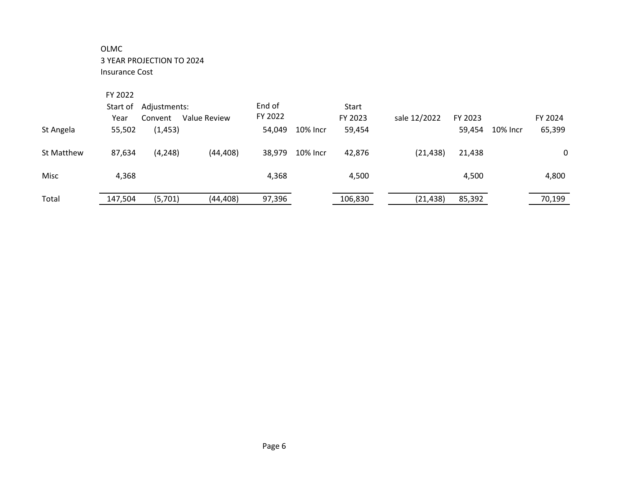# OLMC 3 YEAR PROJECTION TO 2024 Insurance Cost

| St Angela  | FY 2022<br>Start of<br>Year<br>55,502 | Adjustments:<br>Convent<br>(1, 453) | Value Review | End of<br>FY 2022<br>54,049 | 10% Incr | Start<br>FY 2023<br>59,454 | sale 12/2022 | FY 2023<br>59,454 | 10% Incr | FY 2024<br>65,399 |
|------------|---------------------------------------|-------------------------------------|--------------|-----------------------------|----------|----------------------------|--------------|-------------------|----------|-------------------|
| St Matthew | 87,634                                | (4, 248)                            | (44, 408)    | 38,979                      | 10% Incr | 42,876                     | (21, 438)    | 21,438            |          | 0                 |
| Misc       | 4,368                                 |                                     |              | 4,368                       |          | 4,500                      |              | 4,500             |          | 4,800             |
| Total      | 147,504                               | (5,701)                             | (44, 408)    | 97,396                      |          | 106,830                    | (21, 438)    | 85,392            |          | 70,199            |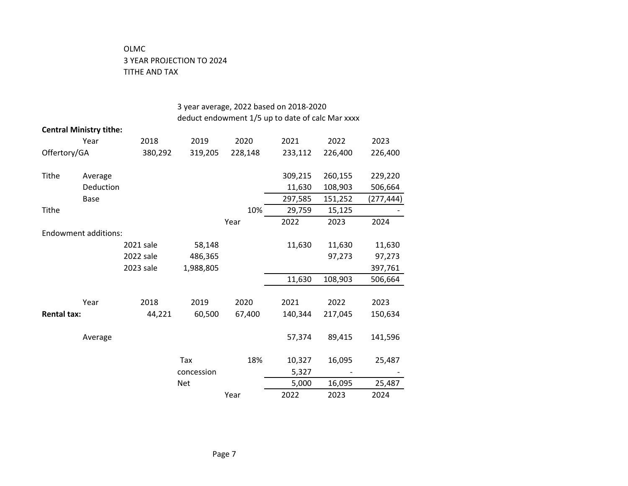# OLMC 3 YEAR PROJECTION TO 2024 TITHE AND TAX

|                    |                                | 3 year average, 2022 based on 2018-2020          |            |         |         |         |           |  |  |  |
|--------------------|--------------------------------|--------------------------------------------------|------------|---------|---------|---------|-----------|--|--|--|
|                    |                                | deduct endowment 1/5 up to date of calc Mar xxxx |            |         |         |         |           |  |  |  |
|                    | <b>Central Ministry tithe:</b> |                                                  |            |         |         |         |           |  |  |  |
|                    | Year                           | 2018                                             | 2019       | 2020    | 2021    | 2022    | 2023      |  |  |  |
| Offertory/GA       |                                | 380,292                                          | 319,205    | 228,148 | 233,112 | 226,400 | 226,400   |  |  |  |
| <b>Tithe</b>       | Average                        |                                                  |            |         | 309,215 | 260,155 | 229,220   |  |  |  |
|                    | Deduction                      |                                                  |            |         | 11,630  | 108,903 | 506,664   |  |  |  |
|                    | <b>Base</b>                    |                                                  |            |         | 297,585 | 151,252 | (277,444) |  |  |  |
| <b>Tithe</b>       |                                |                                                  |            | 10%     | 29,759  | 15,125  |           |  |  |  |
|                    |                                |                                                  |            | Year    | 2022    | 2023    | 2024      |  |  |  |
|                    | <b>Endowment additions:</b>    |                                                  |            |         |         |         |           |  |  |  |
|                    |                                | 2021 sale                                        | 58,148     |         | 11,630  | 11,630  | 11,630    |  |  |  |
|                    |                                | 2022 sale                                        | 486,365    |         |         | 97,273  | 97,273    |  |  |  |
|                    |                                | 2023 sale                                        | 1,988,805  |         |         |         | 397,761   |  |  |  |
|                    |                                |                                                  |            |         | 11,630  | 108,903 | 506,664   |  |  |  |
|                    | Year                           | 2018                                             | 2019       | 2020    | 2021    | 2022    | 2023      |  |  |  |
| <b>Rental tax:</b> |                                | 44,221                                           | 60,500     | 67,400  | 140,344 | 217,045 | 150,634   |  |  |  |
|                    |                                |                                                  |            |         |         |         |           |  |  |  |
|                    | Average                        |                                                  |            |         | 57,374  | 89,415  | 141,596   |  |  |  |
|                    |                                |                                                  | Tax        | 18%     | 10,327  | 16,095  | 25,487    |  |  |  |
|                    |                                |                                                  | concession |         | 5,327   |         |           |  |  |  |
|                    |                                |                                                  | <b>Net</b> |         | 5,000   | 16,095  | 25,487    |  |  |  |
|                    |                                |                                                  |            | Year    | 2022    | 2023    | 2024      |  |  |  |